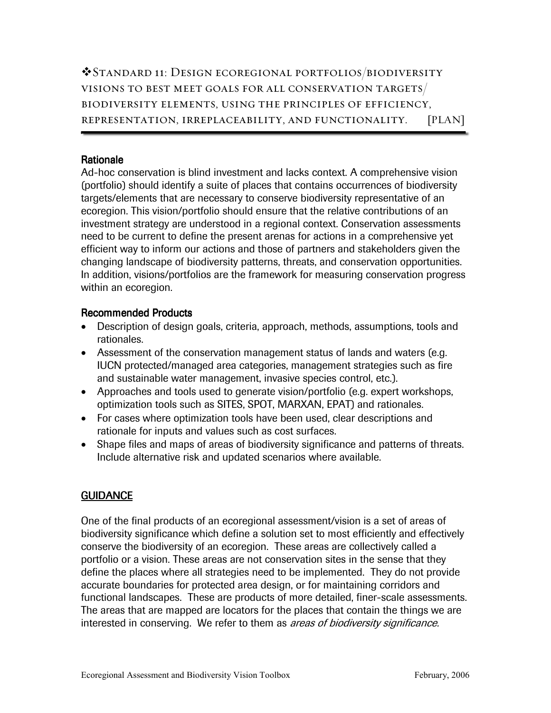Standard 11: Design ecoregional portfolios/biodiversity visions to best meet goals for all conservation targets/ biodiversity elements, using the principles of efficiency, representation, irreplaceability, and functionality. [PLAN]

#### Rationale

Ad-hoc conservation is blind investment and lacks context. A comprehensive vision (portfolio) should identify a suite of places that contains occurrences of biodiversity targets/elements that are necessary to conserve biodiversity representative of an ecoregion. This vision/portfolio should ensure that the relative contributions of an investment strategy are understood in a regional context. Conservation assessments need to be current to define the present arenas for actions in a comprehensive yet efficient way to inform our actions and those of partners and stakeholders given the changing landscape of biodiversity patterns, threats, and conservation opportunities. In addition, visions/portfolios are the framework for measuring conservation progress within an ecoregion.

#### Recommended Products

- Description of design goals, criteria, approach, methods, assumptions, tools and rationales.
- Assessment of the conservation management status of lands and waters (e.g. IUCN protected/managed area categories, management strategies such as fire and sustainable water management, invasive species control, etc.).
- Approaches and tools used to generate vision/portfolio (e.g. expert workshops, optimization tools such as SITES, SPOT, MARXAN, EPAT) and rationales.
- For cases where optimization tools have been used, clear descriptions and rationale for inputs and values such as cost surfaces.
- Shape files and maps of areas of biodiversity significance and patterns of threats. Include alternative risk and updated scenarios where available.

### **GUIDANCE**

One of the final products of an ecoregional assessment/vision is a set of areas of biodiversity significance which define a solution set to most efficiently and effectively conserve the biodiversity of an ecoregion. These areas are collectively called a portfolio or a vision. These areas are not conservation sites in the sense that they define the places where all strategies need to be implemented. They do not provide accurate boundaries for protected area design, or for maintaining corridors and functional landscapes. These are products of more detailed, finer-scale assessments. The areas that are mapped are locators for the places that contain the things we are interested in conserving. We refer to them as *areas of biodiversity significance*.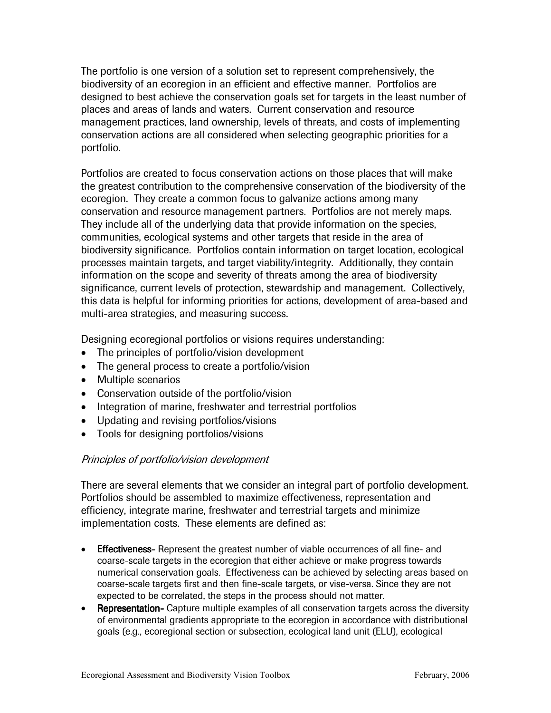The portfolio is one version of a solution set to represent comprehensively, the biodiversity of an ecoregion in an efficient and effective manner. Portfolios are designed to best achieve the conservation goals set for targets in the least number of places and areas of lands and waters. Current conservation and resource management practices, land ownership, levels of threats, and costs of implementing conservation actions are all considered when selecting geographic priorities for a portfolio.

Portfolios are created to focus conservation actions on those places that will make the greatest contribution to the comprehensive conservation of the biodiversity of the ecoregion. They create a common focus to galvanize actions among many conservation and resource management partners. Portfolios are not merely maps. They include all of the underlying data that provide information on the species, communities, ecological systems and other targets that reside in the area of biodiversity significance. Portfolios contain information on target location, ecological processes maintain targets, and target viability/integrity. Additionally, they contain information on the scope and severity of threats among the area of biodiversity significance, current levels of protection, stewardship and management. Collectively, this data is helpful for informing priorities for actions, development of area-based and multi-area strategies, and measuring success.

Designing ecoregional portfolios or visions requires understanding:

- The principles of portfolio/vision development
- The general process to create a portfolio/vision
- Multiple scenarios
- Conservation outside of the portfolio/vision
- Integration of marine, freshwater and terrestrial portfolios
- Updating and revising portfolios/visions
- Tools for designing portfolios/visions

#### Principles of portfolio/vision development

There are several elements that we consider an integral part of portfolio development. Portfolios should be assembled to maximize effectiveness, representation and efficiency, integrate marine, freshwater and terrestrial targets and minimize implementation costs. These elements are defined as:

- Effectiveness- Effectiveness- Represent the greatest number of viable occurrences of all fine- and coarse-scale targets in the ecoregion that either achieve or make progress towards numerical conservation goals. Effectiveness can be achieved by selecting areas based on coarse-scale targets first and then fine-scale targets, or vise-versa. Since they are not expected to be correlated, the steps in the process should not matter.
- Representation- Capture multiple examples of all conservation targets across the diversity of environmental gradients appropriate to the ecoregion in accordance with distributional goals (e.g., ecoregional section or subsection, ecological land unit (ELU), ecological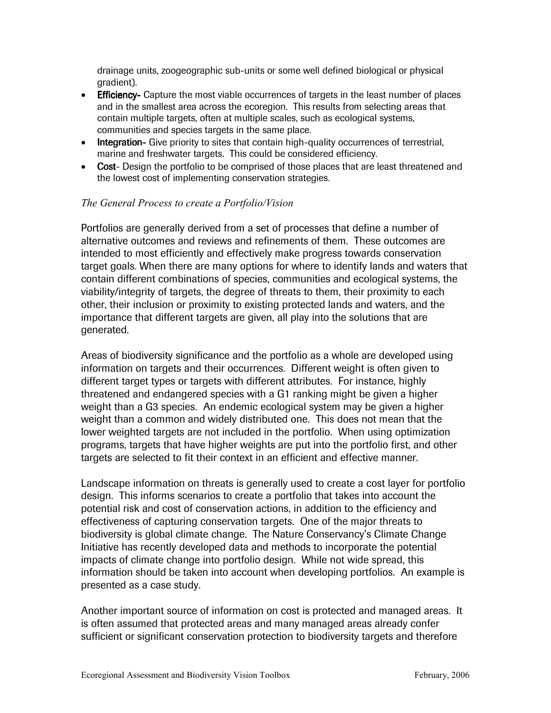drainage units, zoogeographic sub-units or some well defined biological or physical gradient).

- Efficiency- Capture the most viable occurrences of targets in the least number of places and in the smallest area across the ecoregion. This results from selecting areas that contain multiple targets, often at multiple scales, such as ecological systems, communities and species targets in the same place.
- Integration- Give priority to sites that contain high-quality occurrences of terrestrial, marine and freshwater targets. This could be considered efficiency.
- Cost- Design the portfolio to be comprised of those places that are least threatened and the lowest cost of implementing conservation strategies.

### The General Process to create a Portfolio/Vision

Portfolios are generally derived from a set of processes that define a number of alternative outcomes and reviews and refinements of them. These outcomes are intended to most efficiently and effectively make progress towards conservation target goals. When there are many options for where to identify lands and waters that contain different combinations of species, communities and ecological systems, the viability/integrity of targets, the degree of threats to them, their proximity to each other, their inclusion or proximity to existing protected lands and waters, and the importance that different targets are given, all play into the solutions that are generated.

Areas of biodiversity significance and the portfolio as a whole are developed using information on targets and their occurrences. Different weight is often given to different target types or targets with different attributes. For instance, highly threatened and endangered species with a G1 ranking might be given a higher weight than a G3 species. An endemic ecological system may be given a higher weight than a common and widely distributed one. This does not mean that the lower weighted targets are not included in the portfolio. When using optimization programs, targets that have higher weights are put into the portfolio first, and other targets are selected to fit their context in an efficient and effective manner.

Landscape information on threats is generally used to create a cost layer for portfolio design. This informs scenarios to create a portfolio that takes into account the potential risk and cost of conservation actions, in addition to the efficiency and effectiveness of capturing conservation targets. One of the major threats to biodiversity is global climate change. The Nature Conservancy's Climate Change Initiative has recently developed data and methods to incorporate the potential impacts of climate change into portfolio design. While not wide spread, this information should be taken into account when developing portfolios. An example is presented as a case study.

Another important source of information on cost is protected and managed areas. It is often assumed that protected areas and many managed areas already confer sufficient or significant conservation protection to biodiversity targets and therefore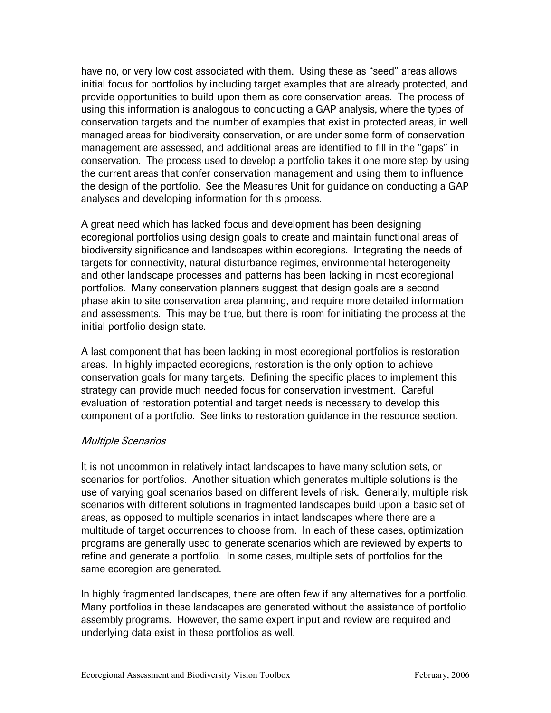have no, or very low cost associated with them. Using these as "seed" areas allows initial focus for portfolios by including target examples that are already protected, and provide opportunities to build upon them as core conservation areas. The process of using this information is analogous to conducting a GAP analysis, where the types of conservation targets and the number of examples that exist in protected areas, in well managed areas for biodiversity conservation, or are under some form of conservation management are assessed, and additional areas are identified to fill in the "gaps" in conservation. The process used to develop a portfolio takes it one more step by using the current areas that confer conservation management and using them to influence the design of the portfolio. See the Measures Unit for guidance on conducting a GAP analyses and developing information for this process.

A great need which has lacked focus and development has been designing ecoregional portfolios using design goals to create and maintain functional areas of biodiversity significance and landscapes within ecoregions. Integrating the needs of targets for connectivity, natural disturbance regimes, environmental heterogeneity and other landscape processes and patterns has been lacking in most ecoregional portfolios. Many conservation planners suggest that design goals are a second phase akin to site conservation area planning, and require more detailed information and assessments. This may be true, but there is room for initiating the process at the initial portfolio design state.

A last component that has been lacking in most ecoregional portfolios is restoration areas. In highly impacted ecoregions, restoration is the only option to achieve conservation goals for many targets. Defining the specific places to implement this strategy can provide much needed focus for conservation investment. Careful evaluation of restoration potential and target needs is necessary to develop this component of a portfolio. See links to restoration guidance in the resource section.

#### Multiple Scenarios

It is not uncommon in relatively intact landscapes to have many solution sets, or scenarios for portfolios. Another situation which generates multiple solutions is the use of varying goal scenarios based on different levels of risk. Generally, multiple risk scenarios with different solutions in fragmented landscapes build upon a basic set of areas, as opposed to multiple scenarios in intact landscapes where there are a multitude of target occurrences to choose from. In each of these cases, optimization programs are generally used to generate scenarios which are reviewed by experts to refine and generate a portfolio. In some cases, multiple sets of portfolios for the same ecoregion are generated.

In highly fragmented landscapes, there are often few if any alternatives for a portfolio. Many portfolios in these landscapes are generated without the assistance of portfolio assembly programs. However, the same expert input and review are required and underlying data exist in these portfolios as well.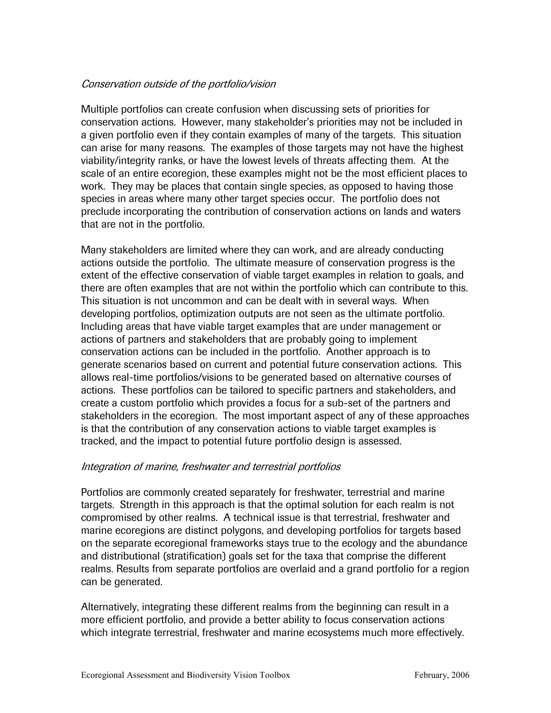#### Conservation outside of the portfolio/vision

Multiple portfolios can create confusion when discussing sets of priorities for conservation actions. However, many stakeholder's priorities may not be included in a given portfolio even if they contain examples of many of the targets. This situation can arise for many reasons. The examples of those targets may not have the highest viability/integrity ranks, or have the lowest levels of threats affecting them. At the scale of an entire ecoregion, these examples might not be the most efficient places to work. They may be places that contain single species, as opposed to having those species in areas where many other target species occur. The portfolio does not preclude incorporating the contribution of conservation actions on lands and waters that are not in the portfolio.

Many stakeholders are limited where they can work, and are already conducting actions outside the portfolio. The ultimate measure of conservation progress is the extent of the effective conservation of viable target examples in relation to goals, and there are often examples that are not within the portfolio which can contribute to this. This situation is not uncommon and can be dealt with in several ways. When developing portfolios, optimization outputs are not seen as the ultimate portfolio. Including areas that have viable target examples that are under management or actions of partners and stakeholders that are probably going to implement conservation actions can be included in the portfolio. Another approach is to generate scenarios based on current and potential future conservation actions. This allows real-time portfolios/visions to be generated based on alternative courses of actions. These portfolios can be tailored to specific partners and stakeholders, and create a custom portfolio which provides a focus for a sub-set of the partners and stakeholders in the ecoregion. The most important aspect of any of these approaches is that the contribution of any conservation actions to viable target examples is tracked, and the impact to potential future portfolio design is assessed.

#### Integration of marine, freshwater and terrestrial portfolios

Portfolios are commonly created separately for freshwater, terrestrial and marine targets. Strength in this approach is that the optimal solution for each realm is not compromised by other realms. A technical issue is that terrestrial, freshwater and marine ecoregions are distinct polygons, and developing portfolios for targets based on the separate ecoregional frameworks stays true to the ecology and the abundance and distributional (stratification) goals set for the taxa that comprise the different realms. Results from separate portfolios are overlaid and a grand portfolio for a region can be generated.

Alternatively, integrating these different realms from the beginning can result in a more efficient portfolio, and provide a better ability to focus conservation actions which integrate terrestrial, freshwater and marine ecosystems much more effectively.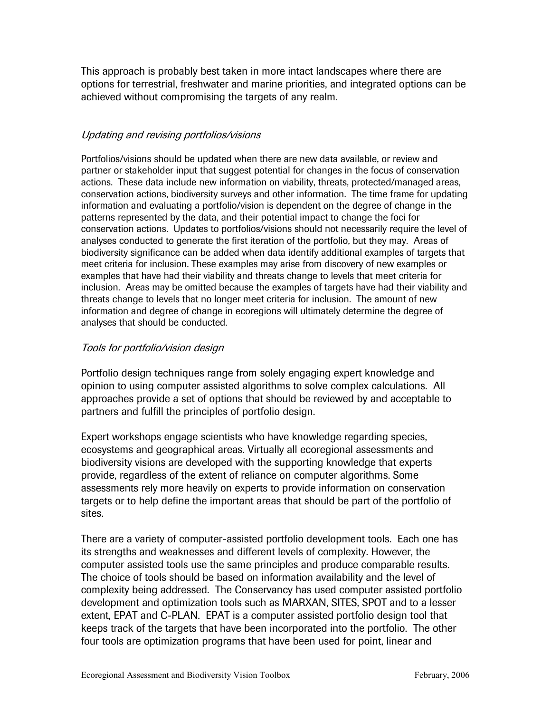This approach is probably best taken in more intact landscapes where there are options for terrestrial, freshwater and marine priorities, and integrated options can be achieved without compromising the targets of any realm.

### Updating and revising portfolios/visions

Portfolios/visions should be updated when there are new data available, or review and partner or stakeholder input that suggest potential for changes in the focus of conservation actions. These data include new information on viability, threats, protected/managed areas, conservation actions, biodiversity surveys and other information. The time frame for updating information and evaluating a portfolio/vision is dependent on the degree of change in the patterns represented by the data, and their potential impact to change the foci for conservation actions. Updates to portfolios/visions should not necessarily require the level of analyses conducted to generate the first iteration of the portfolio, but they may. Areas of biodiversity significance can be added when data identify additional examples of targets that meet criteria for inclusion. These examples may arise from discovery of new examples or examples that have had their viability and threats change to levels that meet criteria for inclusion. Areas may be omitted because the examples of targets have had their viability and threats change to levels that no longer meet criteria for inclusion. The amount of new information and degree of change in ecoregions will ultimately determine the degree of analyses that should be conducted.

### Tools for portfolio/vision design

Portfolio design techniques range from solely engaging expert knowledge and opinion to using computer assisted algorithms to solve complex calculations. All approaches provide a set of options that should be reviewed by and acceptable to partners and fulfill the principles of portfolio design.

Expert workshops engage scientists who have knowledge regarding species, ecosystems and geographical areas. Virtually all ecoregional assessments and biodiversity visions are developed with the supporting knowledge that experts provide, regardless of the extent of reliance on computer algorithms. Some assessments rely more heavily on experts to provide information on conservation targets or to help define the important areas that should be part of the portfolio of sites.

There are a variety of computer-assisted portfolio development tools. Each one has its strengths and weaknesses and different levels of complexity. However, the computer assisted tools use the same principles and produce comparable results. The choice of tools should be based on information availability and the level of complexity being addressed. The Conservancy has used computer assisted portfolio development and optimization tools such as MARXAN, SITES, SPOT and to a lesser extent, EPAT and C-PLAN. EPAT is a computer assisted portfolio design tool that keeps track of the targets that have been incorporated into the portfolio. The other four tools are optimization programs that have been used for point, linear and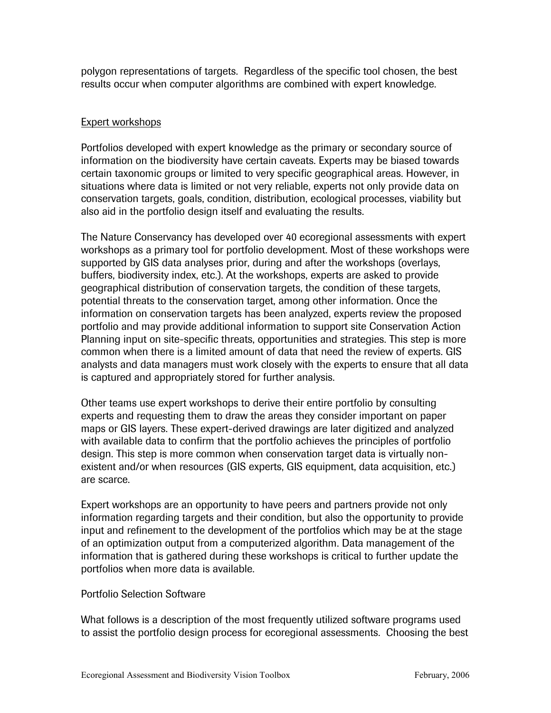polygon representations of targets. Regardless of the specific tool chosen, the best results occur when computer algorithms are combined with expert knowledge.

#### Expert workshops

Portfolios developed with expert knowledge as the primary or secondary source of information on the biodiversity have certain caveats. Experts may be biased towards certain taxonomic groups or limited to very specific geographical areas. However, in situations where data is limited or not very reliable, experts not only provide data on conservation targets, goals, condition, distribution, ecological processes, viability but also aid in the portfolio design itself and evaluating the results.

The Nature Conservancy has developed over 40 ecoregional assessments with expert workshops as a primary tool for portfolio development. Most of these workshops were supported by GIS data analyses prior, during and after the workshops (overlays, buffers, biodiversity index, etc.). At the workshops, experts are asked to provide geographical distribution of conservation targets, the condition of these targets, potential threats to the conservation target, among other information. Once the information on conservation targets has been analyzed, experts review the proposed portfolio and may provide additional information to support site Conservation Action Planning input on site-specific threats, opportunities and strategies. This step is more common when there is a limited amount of data that need the review of experts. GIS analysts and data managers must work closely with the experts to ensure that all data is captured and appropriately stored for further analysis.

Other teams use expert workshops to derive their entire portfolio by consulting experts and requesting them to draw the areas they consider important on paper maps or GIS layers. These expert-derived drawings are later digitized and analyzed with available data to confirm that the portfolio achieves the principles of portfolio design. This step is more common when conservation target data is virtually nonexistent and/or when resources (GIS experts, GIS equipment, data acquisition, etc.) are scarce.

Expert workshops are an opportunity to have peers and partners provide not only information regarding targets and their condition, but also the opportunity to provide input and refinement to the development of the portfolios which may be at the stage of an optimization output from a computerized algorithm. Data management of the information that is gathered during these workshops is critical to further update the portfolios when more data is available.

#### Portfolio Selection Software

What follows is a description of the most frequently utilized software programs used to assist the portfolio design process for ecoregional assessments. Choosing the best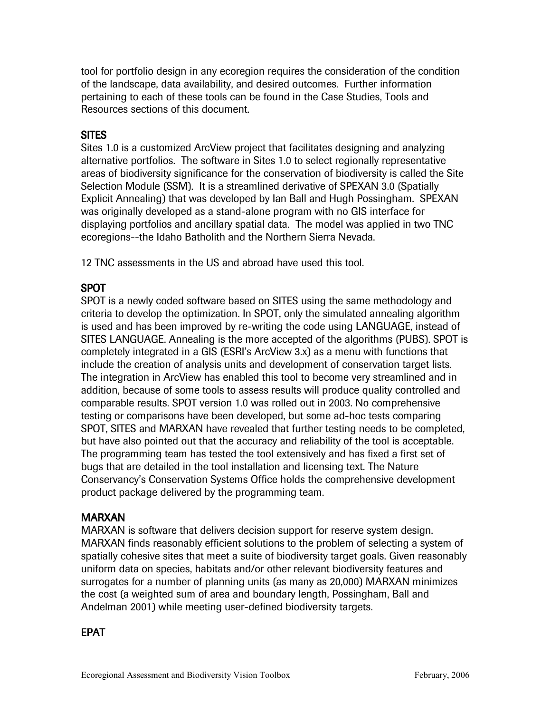tool for portfolio design in any ecoregion requires the consideration of the condition of the landscape, data availability, and desired outcomes. Further information pertaining to each of these tools can be found in the Case Studies, Tools and Resources sections of this document.

# **SITES**

Sites 1.0 is a customized ArcView project that facilitates designing and analyzing alternative portfolios. The software in Sites 1.0 to select regionally representative areas of biodiversity significance for the conservation of biodiversity is called the Site Selection Module (SSM). It is a streamlined derivative of SPEXAN 3.0 (Spatially Explicit Annealing) that was developed by Ian Ball and Hugh Possingham. SPEXAN was originally developed as a stand-alone program with no GIS interface for displaying portfolios and ancillary spatial data. The model was applied in two TNC ecoregions--the Idaho Batholith and the Northern Sierra Nevada.

12 TNC assessments in the US and abroad have used this tool.

### SPOT

SPOT is a newly coded software based on SITES using the same methodology and criteria to develop the optimization. In SPOT, only the simulated annealing algorithm is used and has been improved by re-writing the code using LANGUAGE, instead of SITES LANGUAGE. Annealing is the more accepted of the algorithms (PUBS). SPOT is completely integrated in a GIS (ESRI's ArcView 3.x) as a menu with functions that include the creation of analysis units and development of conservation target lists. The integration in ArcView has enabled this tool to become very streamlined and in addition, because of some tools to assess results will produce quality controlled and comparable results. SPOT version 1.0 was rolled out in 2003. No comprehensive testing or comparisons have been developed, but some ad-hoc tests comparing SPOT, SITES and MARXAN have revealed that further testing needs to be completed, but have also pointed out that the accuracy and reliability of the tool is acceptable. The programming team has tested the tool extensively and has fixed a first set of bugs that are detailed in the tool installation and licensing text. The Nature Conservancy's Conservation Systems Office holds the comprehensive development product package delivered by the programming team.

### MARXAN

MARXAN is software that delivers decision support for reserve system design. MARXAN finds reasonably efficient solutions to the problem of selecting a system of spatially cohesive sites that meet a suite of biodiversity target goals. Given reasonably uniform data on species, habitats and/or other relevant biodiversity features and surrogates for a number of planning units (as many as 20,000) MARXAN minimizes the cost (a weighted sum of area and boundary length, Possingham, Ball and Andelman 2001) while meeting user-defined biodiversity targets.

### EPAT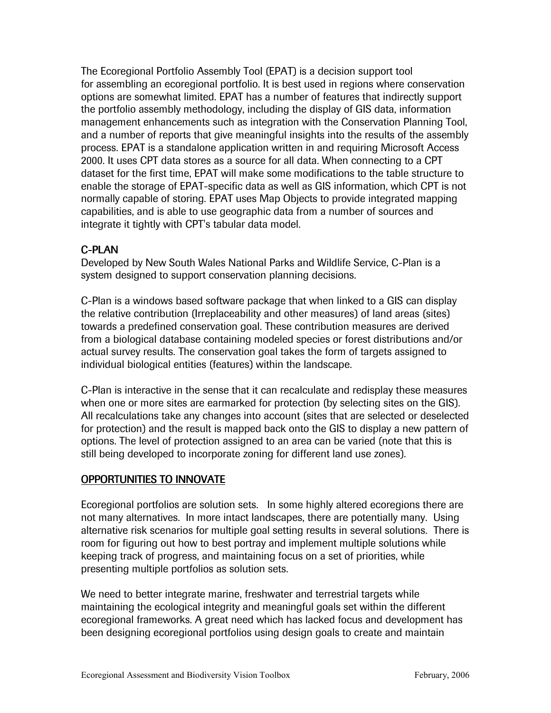The Ecoregional Portfolio Assembly Tool (EPAT) is a decision support tool for assembling an ecoregional portfolio. It is best used in regions where conservation options are somewhat limited. EPAT has a number of features that indirectly support the portfolio assembly methodology, including the display of GIS data, information management enhancements such as integration with the Conservation Planning Tool, and a number of reports that give meaningful insights into the results of the assembly process. EPAT is a standalone application written in and requiring Microsoft Access 2000. It uses CPT data stores as a source for all data. When connecting to a CPT dataset for the first time, EPAT will make some modifications to the table structure to enable the storage of EPAT-specific data as well as GIS information, which CPT is not normally capable of storing. EPAT uses Map Objects to provide integrated mapping capabilities, and is able to use geographic data from a number of sources and integrate it tightly with CPT's tabular data model.

# C-PLAN

Developed by New South Wales National Parks and Wildlife Service, C-Plan is a system designed to support conservation planning decisions.

C-Plan is a windows based software package that when linked to a GIS can display the relative contribution (Irreplaceability and other measures) of land areas (sites) towards a predefined conservation goal. These contribution measures are derived from a biological database containing modeled species or forest distributions and/or actual survey results. The conservation goal takes the form of targets assigned to individual biological entities (features) within the landscape.

C-Plan is interactive in the sense that it can recalculate and redisplay these measures when one or more sites are earmarked for protection (by selecting sites on the GIS). All recalculations take any changes into account (sites that are selected or deselected for protection) and the result is mapped back onto the GIS to display a new pattern of options. The level of protection assigned to an area can be varied (note that this is still being developed to incorporate zoning for different land use zones).

### OPPORTUNITIES TO INNOVATE

Ecoregional portfolios are solution sets. In some highly altered ecoregions there are not many alternatives. In more intact landscapes, there are potentially many. Using alternative risk scenarios for multiple goal setting results in several solutions. There is room for figuring out how to best portray and implement multiple solutions while keeping track of progress, and maintaining focus on a set of priorities, while presenting multiple portfolios as solution sets.

We need to better integrate marine, freshwater and terrestrial targets while maintaining the ecological integrity and meaningful goals set within the different ecoregional frameworks. A great need which has lacked focus and development has been designing ecoregional portfolios using design goals to create and maintain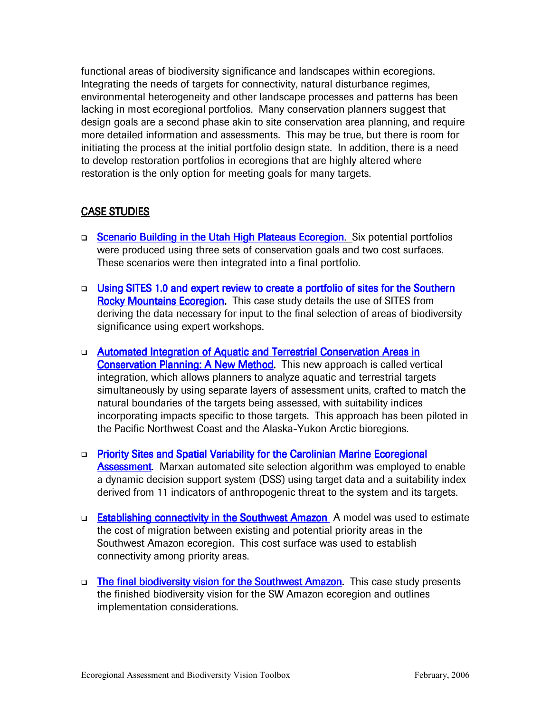functional areas of biodiversity significance and landscapes within ecoregions. Integrating the needs of targets for connectivity, natural disturbance regimes, environmental heterogeneity and other landscape processes and patterns has been lacking in most ecoregional portfolios. Many conservation planners suggest that design goals are a second phase akin to site conservation area planning, and require more detailed information and assessments. This may be true, but there is room for initiating the process at the initial portfolio design state. In addition, there is a need to develop restoration portfolios in ecoregions that are highly altered where restoration is the only option for meeting goals for many targets.

## CASE STUDIES

- □ Scenario Building in the Utah High Plateaus Ecoregion. Six potential portfolios were produced using three sets of conservation goals and two cost surfaces. These scenarios were then integrated into a final portfolio.
- **Using SITES 1.0 and expert review to create a portfolio of sites for the Southern** Rocky Mountains Ecoregion. This case study details the use of SITES from deriving the data necessary for input to the final selection of areas of biodiversity significance using expert workshops.
- □ Automated Integration of Aquatic and Terrestrial Conservation Areas in Conservation Planning: A New Method. This new approach is called vertical integration, which allows planners to analyze aquatic and terrestrial targets simultaneously by using separate layers of assessment units, crafted to match the natural boundaries of the targets being assessed, with suitability indices incorporating impacts specific to those targets. This approach has been piloted in the Pacific Northwest Coast and the Alaska-Yukon Arctic bioregions.
- □ Priority Sites and Spatial Variability for the Carolinian Marine Ecoregional Assessment. Marxan automated site selection algorithm was employed to enable a dynamic decision support system (DSS) using target data and a suitability index derived from 11 indicators of anthropogenic threat to the system and its targets.
- □ Establishing connectivity in the Southwest Amazon A model was used to estimate the cost of migration between existing and potential priority areas in the Southwest Amazon ecoregion. This cost surface was used to establish connectivity among priority areas.
- □ The final biodiversity vision for the Southwest Amazon. This case study presents the finished biodiversity vision for the SW Amazon ecoregion and outlines implementation considerations.

B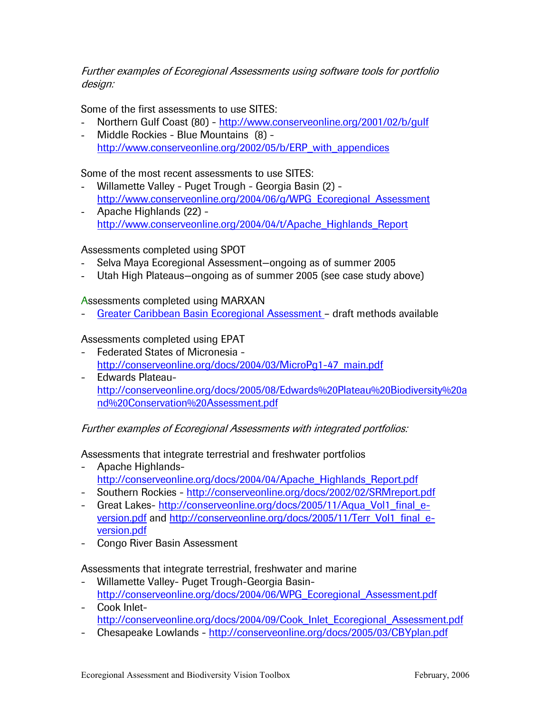#### Further examples of Ecoregional Assessments using software tools for portfolio design:

Some of the first assessments to use SITES:

- Northern Gulf Coast (80) http://www.conserveonline.org/2001/02/b/gulf
- Middle Rockies Blue Mountains (8) http://www.conserveonline.org/2002/05/b/ERP\_with\_appendices

Some of the most recent assessments to use SITES:

- Willamette Valley Puget Trough Georgia Basin (2) http://www.conserveonline.org/2004/06/g/WPG\_Ecoregional\_Assessment
- Apache Highlands (22) http://www.conserveonline.org/2004/04/t/Apache\_Highlands\_Report

Assessments completed using SPOT

- Selva Maya Ecoregional Assessment-ongoing as of summer 2005
- Utah High Plateaus–ongoing as of summer 2005 (see case study above)

Assessments completed using MARXAN

- Greater Caribbean Basin Ecoregional Assessment – draft methods available

Assessments completed using EPAT

- Federated States of Micronesia http://conserveonline.org/docs/2004/03/MicroPg1-47\_main.pdf
- Edwards Plateauhttp://conserveonline.org/docs/2005/08/Edwards%20Plateau%20Biodiversity%20a nd%20Conservation%20Assessment.pdf

Further examples of Ecoregional Assessments with integrated portfolios:

Assessments that integrate terrestrial and freshwater portfolios

- Apache Highlandshttp://conserveonline.org/docs/2004/04/Apache\_Highlands\_Report.pdf
- Southern Rockies http://conserveonline.org/docs/2002/02/SRMreport.pdf
- Great Lakes- http://conserveonline.org/docs/2005/11/Aqua\_Vol1\_final\_eversion.pdf and http://conserveonline.org/docs/2005/11/Terr\_Vol1\_final\_eversion.pdf
- Congo River Basin Assessment

Assessments that integrate terrestrial, freshwater and marine

- Willamette Valley- Puget Trough-Georgia Basinhttp://conserveonline.org/docs/2004/06/WPG\_Ecoregional\_Assessment.pdf
- Cook Inlethttp://conserveonline.org/docs/2004/09/Cook\_Inlet\_Ecoregional\_Assessment.pdf
- Chesapeake Lowlands http://conserveonline.org/docs/2005/03/CBYplan.pdf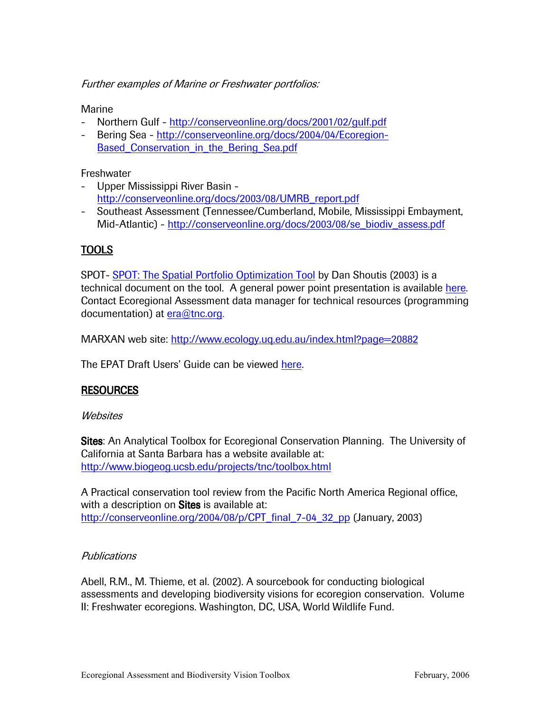Further examples of Marine or Freshwater portfolios:

Marine

- Northern Gulf http://conserveonline.org/docs/2001/02/gulf.pdf
- Bering Sea http://conserveonline.org/docs/2004/04/Ecoregion-Based\_Conservation\_in\_the\_Bering\_Sea.pdf

**Freshwater** 

- Upper Mississippi River Basin http://conserveonline.org/docs/2003/08/UMRB\_report.pdf
- Southeast Assessment (Tennessee/Cumberland, Mobile, Mississippi Embayment, Mid-Atlantic) - http://conserveonline.org/docs/2003/08/se\_biodiv\_assess.pdf

## TOOLS

SPOT- SPOT: The Spatial Portfolio Optimization Tool by Dan Shoutis (2003) is a technical document on the tool. A general power point presentation is available here. Contact Ecoregional Assessment data manager for technical resources (programming documentation) at era@tnc.org.

MARXAN web site: http://www.ecology.uq.edu.au/index.html?page=20882

The EPAT Draft Users' Guide can be viewed here.

### RESOURCES

#### **Websites**

Sites: An Analytical Toolbox for Ecoregional Conservation Planning. The University of California at Santa Barbara has a website available at: http://www.biogeog.ucsb.edu/projects/tnc/toolbox.html

A Practical conservation tool review from the Pacific North America Regional office, with a description on Sites is available at: http://conserveonline.org/2004/08/p/CPT\_final\_7-04\_32\_pp (January, 2003)

#### **Publications**

Abell, R.M., M. Thieme, et al. (2002). A sourcebook for conducting biological assessments and developing biodiversity visions for ecoregion conservation. Volume II: Freshwater ecoregions. Washington, DC, USA, World Wildlife Fund.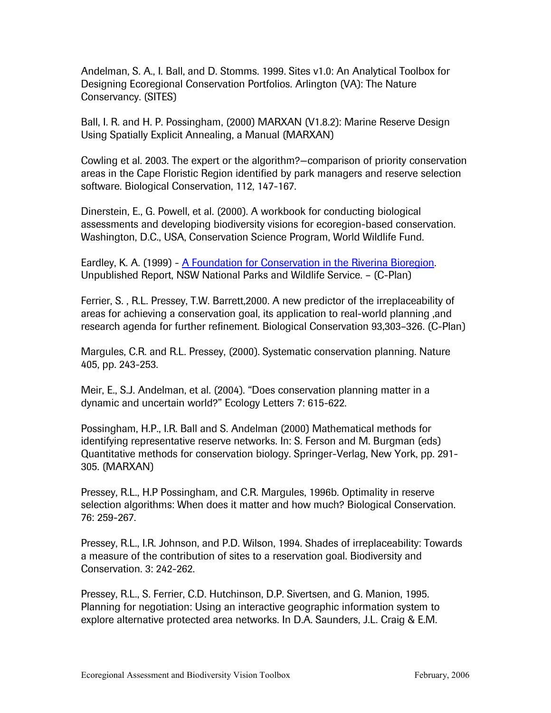Andelman, S. A., I. Ball, and D. Stomms. 1999. Sites v1.0: An Analytical Toolbox for Designing Ecoregional Conservation Portfolios. Arlington (VA): The Nature Conservancy. (SITES)

Ball, I. R. and H. P. Possingham, (2000) MARXAN (V1.8.2): Marine Reserve Design Using Spatially Explicit Annealing, a Manual (MARXAN)

Cowling et al. 2003. The expert or the algorithm?—comparison of priority conservation areas in the Cape Floristic Region identified by park managers and reserve selection software. Biological Conservation, 112, 147-167.

Dinerstein, E., G. Powell, et al. (2000). A workbook for conducting biological assessments and developing biodiversity visions for ecoregion-based conservation. Washington, D.C., USA, Conservation Science Program, World Wildlife Fund.

Eardley, K. A. (1999) - A Foundation for Conservation in the Riverina Bioregion. Unpublished Report, NSW National Parks and Wildlife Service. – (C-Plan)

Ferrier, S. , R.L. Pressey, T.W. Barrett,2000. A new predictor of the irreplaceability of areas for achieving a conservation goal, its application to real-world planning ,and research agenda for further refinement. Biological Conservation 93,303–326. (C-Plan)

Margules, C.R. and R.L. Pressey, (2000). Systematic conservation planning. Nature 405, pp. 243-253.

Meir, E., S.J. Andelman, et al. (2004). "Does conservation planning matter in a dynamic and uncertain world?" Ecology Letters 7: 615-622.

Possingham, H.P., I.R. Ball and S. Andelman (2000) Mathematical methods for identifying representative reserve networks. In: S. Ferson and M. Burgman (eds) Quantitative methods for conservation biology. Springer-Verlag, New York, pp. 291- 305. (MARXAN)

Pressey, R.L., H.P Possingham, and C.R. Margules, 1996b. Optimality in reserve selection algorithms: When does it matter and how much? Biological Conservation. 76: 259-267.

Pressey, R.L., I.R. Johnson, and P.D. Wilson, 1994. Shades of irreplaceability: Towards a measure of the contribution of sites to a reservation goal. Biodiversity and Conservation. 3: 242-262.

Pressey, R.L., S. Ferrier, C.D. Hutchinson, D.P. Sivertsen, and G. Manion, 1995. Planning for negotiation: Using an interactive geographic information system to explore alternative protected area networks. In D.A. Saunders, J.L. Craig & E.M.